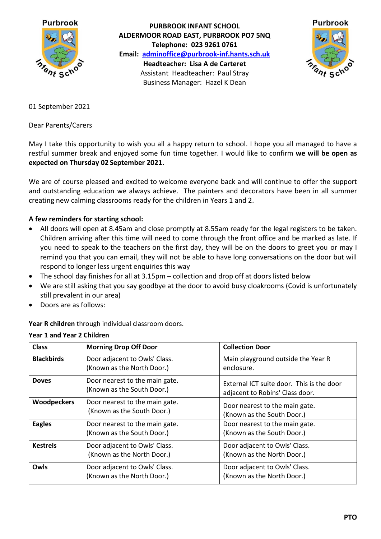

**PURBROOK INFANT SCHOOL ALDERMOOR ROAD EAST, PURBROOK PO7 5NQ Telephone: 023 9261 0761 Email: [adminoffice@purbrook-inf.hants.sch.uk](mailto:adminoffice@purbrook-inf.hants.sch.uk) Headteacher: Lisa A de Carteret** Assistant Headteacher: Paul Stray Business Manager: Hazel K Dean



01 September 2021

Dear Parents/Carers

May I take this opportunity to wish you all a happy return to school. I hope you all managed to have a restful summer break and enjoyed some fun time together. I would like to confirm **we will be open as expected on Thursday 02 September 2021.**

We are of course pleased and excited to welcome everyone back and will continue to offer the support and outstanding education we always achieve. The painters and decorators have been in all summer creating new calming classrooms ready for the children in Years 1 and 2.

## **A few reminders for starting school:**

- All doors will open at 8.45am and close promptly at 8.55am ready for the legal registers to be taken. Children arriving after this time will need to come through the front office and be marked as late. If you need to speak to the teachers on the first day, they will be on the doors to greet you or may I remind you that you can email, they will not be able to have long conversations on the door but will respond to longer less urgent enquiries this way
- The school day finishes for all at 3.15pm collection and drop off at doors listed below
- We are still asking that you say goodbye at the door to avoid busy cloakrooms (Covid is unfortunately still prevalent in our area)
- Doors are as follows:

**Year R children** through individual classroom doors.

| <b>Class</b>       | <b>Morning Drop Off Door</b>                                 | <b>Collection Door</b>                                                       |
|--------------------|--------------------------------------------------------------|------------------------------------------------------------------------------|
| <b>Blackbirds</b>  | Door adjacent to Owls' Class.<br>(Known as the North Door.)  | Main playground outside the Year R<br>enclosure.                             |
| <b>Doves</b>       | Door nearest to the main gate.<br>(Known as the South Door.) | External ICT suite door. This is the door<br>adjacent to Robins' Class door. |
| <b>Woodpeckers</b> | Door nearest to the main gate.<br>(Known as the South Door.) | Door nearest to the main gate.<br>(Known as the South Door.)                 |
| <b>Eagles</b>      | Door nearest to the main gate.<br>(Known as the South Door.) | Door nearest to the main gate.<br>(Known as the South Door.)                 |
| <b>Kestrels</b>    | Door adjacent to Owls' Class.<br>(Known as the North Door.)  | Door adjacent to Owls' Class.<br>(Known as the North Door.)                  |
| Owls               | Door adjacent to Owls' Class.<br>(Known as the North Door.)  | Door adjacent to Owls' Class.<br>(Known as the North Door.)                  |

## **Year 1 and Year 2 Children**